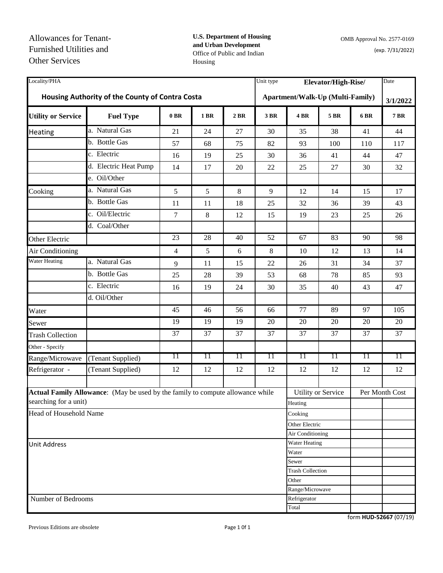**U.S. Department of Housing and Urban Development**  Office of Public and Indian Housing

| Locality/PHA              |                                                                                |                |             |         | Unit type                               | Elevator/High-Rise/     |                           |             | Date            |
|---------------------------|--------------------------------------------------------------------------------|----------------|-------------|---------|-----------------------------------------|-------------------------|---------------------------|-------------|-----------------|
|                           | Housing Authority of the County of Contra Costa                                |                |             |         | <b>Apartment/Walk-Up (Multi-Family)</b> |                         |                           |             | 3/1/2022        |
| <b>Utility or Service</b> | <b>Fuel Type</b>                                                               | $0$ BR         | <b>1 BR</b> | $2$ BR  | 3 BR                                    | <b>4 BR</b>             | <b>5 BR</b>               | <b>6 BR</b> | <b>7 BR</b>     |
| Heating                   | a. Natural Gas                                                                 | 21             | 24          | 27      | 30                                      | 35                      | 38                        | 41          | 44              |
|                           | b. Bottle Gas                                                                  | 57             | 68          | 75      | 82                                      | 93                      | 100                       | 110         | 117             |
|                           | c. Electric                                                                    | 16             | 19          | 25      | 30                                      | 36                      | 41                        | 44          | 47              |
|                           | d. Electric Heat Pump                                                          | 14             | 17          | 20      | 22                                      | 25                      | 27                        | 30          | 32              |
|                           | e. Oil/Other                                                                   |                |             |         |                                         |                         |                           |             |                 |
| Cooking                   | a. Natural Gas                                                                 | 5              | 5           | $\,8\,$ | 9                                       | 12                      | 14                        | 15          | 17              |
|                           | b. Bottle Gas                                                                  | 11             | 11          | 18      | 25                                      | 32                      | 36                        | 39          | 43              |
|                           | c. Oil/Electric                                                                | 7              | 8           | 12      | 15                                      | 19                      | 23                        | 25          | 26              |
|                           | d. Coal/Other                                                                  |                |             |         |                                         |                         |                           |             |                 |
| Other Electric            |                                                                                | 23             | 28          | 40      | 52                                      | 67                      | 83                        | 90          | 98              |
| Air Conditioning          |                                                                                | $\overline{4}$ | 5           | 6       | 8                                       | 10                      | 12                        | 13          | 14              |
| <b>Water Heating</b>      | a. Natural Gas                                                                 | 9              | 11          | 15      | 22                                      | 26                      | 31                        | 34          | 37              |
|                           | b. Bottle Gas                                                                  | 25             | 28          | 39      | 53                                      | 68                      | 78                        | 85          | 93              |
|                           | c. Electric                                                                    | 16             | 19          | 24      | 30                                      | 35                      | 40                        | 43          | 47              |
|                           | d. Oil/Other                                                                   |                |             |         |                                         |                         |                           |             |                 |
| Water                     |                                                                                | 45             | 46          | 56      | 66                                      | 77                      | 89                        | 97          | 105             |
| Sewer                     |                                                                                | 19             | 19          | 19      | 20                                      | 20                      | 20                        | 20          | 20              |
| <b>Trash Collection</b>   |                                                                                | 37             | 37          | 37      | 37                                      | 37                      | 37                        | 37          | 37              |
| Other - Specify           |                                                                                |                |             |         |                                         |                         |                           |             |                 |
| Range/Microwave           | (Tenant Supplied)                                                              | 11             | 11          | 11      | 11                                      | 11                      | 11                        | 11          | $\overline{11}$ |
| Refrigerator -            | (Tenant Supplied)                                                              | 12             | 12          | 12      | 12                                      | 12                      | 12                        | 12          | 12              |
|                           |                                                                                |                |             |         |                                         |                         |                           |             |                 |
|                           | Actual Family Allowance: (May be used by the family to compute allowance while |                |             |         |                                         |                         | <b>Utility or Service</b> |             | Per Month Cost  |
| searching for a unit)     |                                                                                |                |             |         |                                         | Heating                 |                           |             |                 |
| Head of Household Name    |                                                                                |                |             |         |                                         | Cooking                 |                           |             |                 |
|                           |                                                                                |                |             |         |                                         | Other Electric          |                           |             |                 |
|                           |                                                                                |                |             |         |                                         | Air Conditioning        |                           |             |                 |
| <b>Unit Address</b>       |                                                                                |                |             |         |                                         | Water Heating<br>Water  |                           |             |                 |
|                           |                                                                                |                |             |         |                                         | Sewer                   |                           |             |                 |
|                           |                                                                                |                |             |         |                                         | <b>Trash Collection</b> |                           |             |                 |
|                           |                                                                                |                |             |         |                                         | Other                   |                           |             |                 |
|                           |                                                                                |                |             |         |                                         | Range/Microwave         |                           |             |                 |
| Number of Bedrooms        |                                                                                |                |             |         |                                         | Refrigerator            |                           |             |                 |
|                           |                                                                                |                |             |         |                                         | Total                   |                           |             |                 |

Previous Editions are obsolete Page 1 0f 1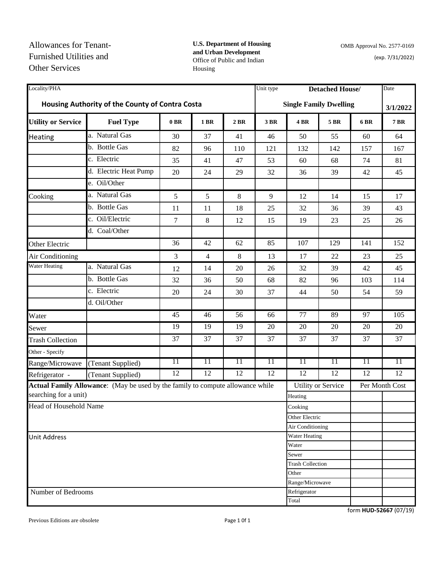**U.S. Department of Housing and Urban Development**  Office of Public and Indian Housing

| Locality/PHA                                    |                                                                                |        |                |      |      | Unit type<br><b>Detached House/</b> |                           |      |                |  |
|-------------------------------------------------|--------------------------------------------------------------------------------|--------|----------------|------|------|-------------------------------------|---------------------------|------|----------------|--|
| Housing Authority of the County of Contra Costa |                                                                                |        |                |      |      | <b>Single Family Dwelling</b>       | 3/1/2022                  |      |                |  |
| <b>Utility or Service</b>                       | <b>Fuel Type</b>                                                               | $0$ BR | 1 BR           | 2 BR | 3 BR | <b>4 BR</b>                         | 5 BR                      | 6 BR | <b>7 BR</b>    |  |
| Heating                                         | a. Natural Gas                                                                 | 30     | 37             | 41   | 46   | 50                                  | 55                        | 60   | 64             |  |
|                                                 | b. Bottle Gas                                                                  | 82     | 96             | 110  | 121  | 132                                 | 142                       | 157  | 167            |  |
|                                                 | c. Electric                                                                    | 35     | 41             | 47   | 53   | 60                                  | 68                        | 74   | 81             |  |
|                                                 | d. Electric Heat Pump                                                          | 20     | 24             | 29   | 32   | 36                                  | 39                        | 42   | 45             |  |
|                                                 | e. Oil/Other                                                                   |        |                |      |      |                                     |                           |      |                |  |
| Cooking                                         | a. Natural Gas                                                                 | 5      | 5              | 8    | 9    | 12                                  | 14                        | 15   | 17             |  |
|                                                 | b. Bottle Gas                                                                  | 11     | 11             | 18   | 25   | 32                                  | 36                        | 39   | 43             |  |
|                                                 | c. Oil/Electric                                                                | 7      | $\,8\,$        | 12   | 15   | 19                                  | 23                        | 25   | 26             |  |
|                                                 | d. Coal/Other                                                                  |        |                |      |      |                                     |                           |      |                |  |
| Other Electric                                  |                                                                                | 36     | 42             | 62   | 85   | 107                                 | 129                       | 141  | 152            |  |
| Air Conditioning                                |                                                                                | 3      | $\overline{4}$ | 8    | 13   | 17                                  | 22                        | 23   | 25             |  |
| <b>Water Heating</b>                            | a. Natural Gas                                                                 | 12     | 14             | 20   | 26   | 32                                  | 39                        | 42   | 45             |  |
|                                                 | b. Bottle Gas                                                                  | 32     | 36             | 50   | 68   | 82                                  | 96                        | 103  | 114            |  |
|                                                 | c. Electric                                                                    | 20     | 24             | 30   | 37   | 44                                  | 50                        | 54   | 59             |  |
|                                                 | d. Oil/Other                                                                   |        |                |      |      |                                     |                           |      |                |  |
| Water                                           |                                                                                | 45     | 46             | 56   | 66   | $\overline{77}$                     | 89                        | 97   | 105            |  |
| Sewer                                           |                                                                                | 19     | 19             | 19   | 20   | $\overline{20}$                     | 20                        | 20   | 20             |  |
| <b>Trash Collection</b>                         |                                                                                | 37     | 37             | 37   | 37   | 37                                  | 37                        | 37   | 37             |  |
| Other - Specify                                 |                                                                                |        |                |      |      |                                     |                           |      |                |  |
| Range/Microwave                                 | (Tenant Supplied)                                                              | 11     | 11             | 11   | 11   | 11                                  | 11                        | 11   | 11             |  |
| Refrigerator -                                  | (Tenant Supplied)                                                              | 12     | 12             | 12   | 12   | 12                                  | 12                        | 12   | 12             |  |
|                                                 | Actual Family Allowance: (May be used by the family to compute allowance while |        |                |      |      |                                     | <b>Utility or Service</b> |      | Per Month Cost |  |
| searching for a unit)                           |                                                                                |        |                |      |      | Heating                             |                           |      |                |  |
| Head of Household Name                          |                                                                                |        |                |      |      | Cooking                             |                           |      |                |  |
|                                                 |                                                                                |        |                |      |      | Other Electric                      |                           |      |                |  |
|                                                 |                                                                                |        |                |      |      | Air Conditioning                    |                           |      |                |  |
| <b>Unit Address</b>                             |                                                                                |        |                |      |      | Water Heating                       |                           |      |                |  |
|                                                 |                                                                                |        |                |      |      | Water                               |                           |      |                |  |
|                                                 |                                                                                |        |                |      |      | Sewer                               |                           |      |                |  |
|                                                 |                                                                                |        |                |      |      | <b>Trash Collection</b><br>Other    |                           |      |                |  |
|                                                 |                                                                                |        |                |      |      | Range/Microwave                     |                           |      |                |  |
| Number of Bedrooms                              |                                                                                |        |                |      |      | Refrigerator                        |                           |      |                |  |
|                                                 |                                                                                |        |                |      |      | Total                               |                           |      |                |  |

Previous Editions are obsolete Page 1 0f 1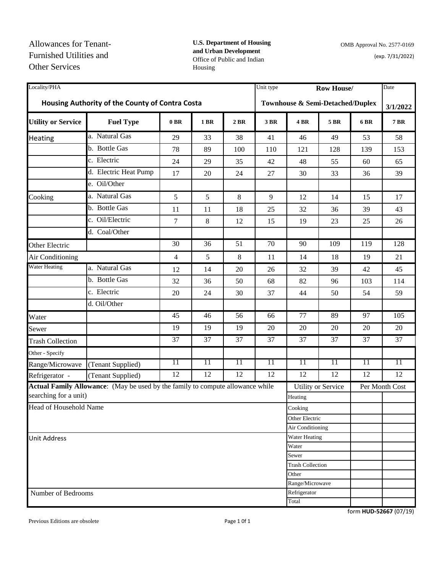## **U.S. Department of Housing and Urban Development**  Office of Public and Indian Housing

| Locality/PHA              |                                                                                     |                 |             |        | Unit type | <b>Row House/</b>         |                 |             | Date           |
|---------------------------|-------------------------------------------------------------------------------------|-----------------|-------------|--------|-----------|---------------------------|-----------------|-------------|----------------|
|                           | Housing Authority of the County of Contra Costa<br>Townhouse & Semi-Detached/Duplex |                 |             |        |           | 3/1/2022                  |                 |             |                |
| <b>Utility or Service</b> | <b>Fuel Type</b>                                                                    | $0$ BR          | <b>1 BR</b> | $2$ BR | 3 BR      | 4 BR                      | <b>5 BR</b>     | <b>6 BR</b> | <b>7 BR</b>    |
| Heating                   | a. Natural Gas                                                                      | 29              | 33          | 38     | 41        | 46                        | 49              | 53          | 58             |
|                           | b. Bottle Gas                                                                       | 78              | 89          | 100    | 110       | 121                       | 128             | 139         | 153            |
|                           | c. Electric                                                                         | 24              | 29          | 35     | 42        | 48                        | 55              | 60          | 65             |
|                           | d. Electric Heat Pump                                                               | 17              | 20          | 24     | 27        | 30                        | 33              | 36          | 39             |
|                           | e. Oil/Other                                                                        |                 |             |        |           |                           |                 |             |                |
| Cooking                   | a. Natural Gas                                                                      | 5               | 5           | $\,8$  | 9         | 12                        | 14              | 15          | 17             |
|                           | b. Bottle Gas                                                                       | 11              | 11          | 18     | 25        | 32                        | 36              | 39          | 43             |
|                           | c. Oil/Electric                                                                     | 7               | 8           | 12     | 15        | 19                        | 23              | 25          | 26             |
|                           | d. Coal/Other                                                                       |                 |             |        |           |                           |                 |             |                |
| Other Electric            |                                                                                     | 30              | 36          | 51     | 70        | 90                        | 109             | 119         | 128            |
| Air Conditioning          |                                                                                     | $\overline{4}$  | 5           | 8      | 11        | 14                        | 18              | 19          | 21             |
| <b>Water Heating</b>      | a. Natural Gas                                                                      | 12              | 14          | 20     | 26        | 32                        | 39              | 42          | 45             |
|                           | b. Bottle Gas                                                                       | 32              | 36          | 50     | 68        | 82                        | 96              | 103         | 114            |
|                           | c. Electric                                                                         | 20              | 24          | 30     | 37        | 44                        | 50              | 54          | 59             |
|                           | d. Oil/Other                                                                        |                 |             |        |           |                           |                 |             |                |
| Water                     |                                                                                     | 45              | 46          | 56     | 66        | 77                        | 89              | 97          | 105            |
| Sewer                     |                                                                                     | 19              | 19          | 19     | 20        | 20                        | 20              | 20          | 20             |
| <b>Trash Collection</b>   |                                                                                     | 37              | 37          | 37     | 37        | 37                        | 37              | 37          | 37             |
| Other - Specify           |                                                                                     |                 |             |        |           |                           |                 |             |                |
| Range/Microwave           | (Tenant Supplied)                                                                   | $\overline{11}$ | 11          | 11     | 11        | 11                        | 11              | 11          | 11             |
| Refrigerator -            | (Tenant Supplied)                                                                   | 12              | 12          | 12     | 12        | 12                        | $\overline{12}$ | 12          | 12             |
|                           | Actual Family Allowance: (May be used by the family to compute allowance while      |                 |             |        |           | <b>Utility or Service</b> |                 |             | Per Month Cost |
| searching for a unit)     |                                                                                     |                 |             |        |           | Heating                   |                 |             |                |
| Head of Household Name    |                                                                                     |                 |             |        |           | Cooking                   |                 |             |                |
|                           |                                                                                     |                 |             |        |           | Other Electric            |                 |             |                |
|                           |                                                                                     |                 |             |        |           | Air Conditioning          |                 |             |                |
| <b>Unit Address</b>       |                                                                                     |                 |             |        |           | Water Heating             |                 |             |                |
|                           |                                                                                     |                 |             |        |           | Water<br>Sewer            |                 |             |                |
|                           |                                                                                     |                 |             |        |           | <b>Trash Collection</b>   |                 |             |                |
|                           |                                                                                     |                 |             |        |           | Other                     |                 |             |                |
|                           |                                                                                     |                 |             |        |           | Range/Microwave           |                 |             |                |
| Number of Bedrooms        |                                                                                     |                 |             |        |           | Refrigerator              |                 |             |                |
|                           |                                                                                     |                 |             |        |           | Total                     |                 |             |                |